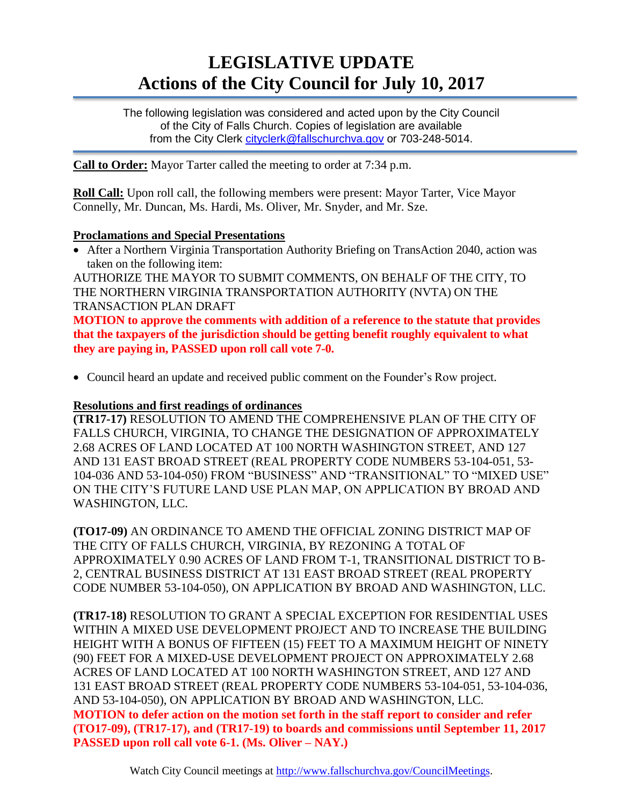# **LEGISLATIVE UPDATE Actions of the City Council for July 10, 2017**

The following legislation was considered and acted upon by the City Council of the City of Falls Church. Copies of legislation are available from the City Clerk [cityclerk@fallschurchva.gov](mailto:cityclerk@fallschurchva.gov) or 703-248-5014.

**Call to Order:** Mayor Tarter called the meeting to order at 7:34 p.m.

**Roll Call:** Upon roll call, the following members were present: Mayor Tarter, Vice Mayor Connelly, Mr. Duncan, Ms. Hardi, Ms. Oliver, Mr. Snyder, and Mr. Sze.

#### **Proclamations and Special Presentations**

 After a Northern Virginia Transportation Authority Briefing on TransAction 2040, action was taken on the following item:

AUTHORIZE THE MAYOR TO SUBMIT COMMENTS, ON BEHALF OF THE CITY, TO THE NORTHERN VIRGINIA TRANSPORTATION AUTHORITY (NVTA) ON THE TRANSACTION PLAN DRAFT

**MOTION to approve the comments with addition of a reference to the statute that provides that the taxpayers of the jurisdiction should be getting benefit roughly equivalent to what they are paying in, PASSED upon roll call vote 7-0.**

Council heard an update and received public comment on the Founder's Row project.

## **Resolutions and first readings of ordinances**

**(TR17-17)** RESOLUTION TO AMEND THE COMPREHENSIVE PLAN OF THE CITY OF FALLS CHURCH, VIRGINIA, TO CHANGE THE DESIGNATION OF APPROXIMATELY 2.68 ACRES OF LAND LOCATED AT 100 NORTH WASHINGTON STREET, AND 127 AND 131 EAST BROAD STREET (REAL PROPERTY CODE NUMBERS 53-104-051, 53- 104-036 AND 53-104-050) FROM "BUSINESS" AND "TRANSITIONAL" TO "MIXED USE" ON THE CITY'S FUTURE LAND USE PLAN MAP, ON APPLICATION BY BROAD AND WASHINGTON, LLC.

**(TO17-09)** AN ORDINANCE TO AMEND THE OFFICIAL ZONING DISTRICT MAP OF THE CITY OF FALLS CHURCH, VIRGINIA, BY REZONING A TOTAL OF APPROXIMATELY 0.90 ACRES OF LAND FROM T-1, TRANSITIONAL DISTRICT TO B-2, CENTRAL BUSINESS DISTRICT AT 131 EAST BROAD STREET (REAL PROPERTY CODE NUMBER 53-104-050), ON APPLICATION BY BROAD AND WASHINGTON, LLC.

**(TR17-18)** RESOLUTION TO GRANT A SPECIAL EXCEPTION FOR RESIDENTIAL USES WITHIN A MIXED USE DEVELOPMENT PROJECT AND TO INCREASE THE BUILDING HEIGHT WITH A BONUS OF FIFTEEN (15) FEET TO A MAXIMUM HEIGHT OF NINETY (90) FEET FOR A MIXED-USE DEVELOPMENT PROJECT ON APPROXIMATELY 2.68 ACRES OF LAND LOCATED AT 100 NORTH WASHINGTON STREET, AND 127 AND 131 EAST BROAD STREET (REAL PROPERTY CODE NUMBERS 53-104-051, 53-104-036, AND 53-104-050), ON APPLICATION BY BROAD AND WASHINGTON, LLC. **MOTION to defer action on the motion set forth in the staff report to consider and refer (TO17-09), (TR17-17), and (TR17-19) to boards and commissions until September 11, 2017 PASSED upon roll call vote 6-1. (Ms. Oliver – NAY.)**